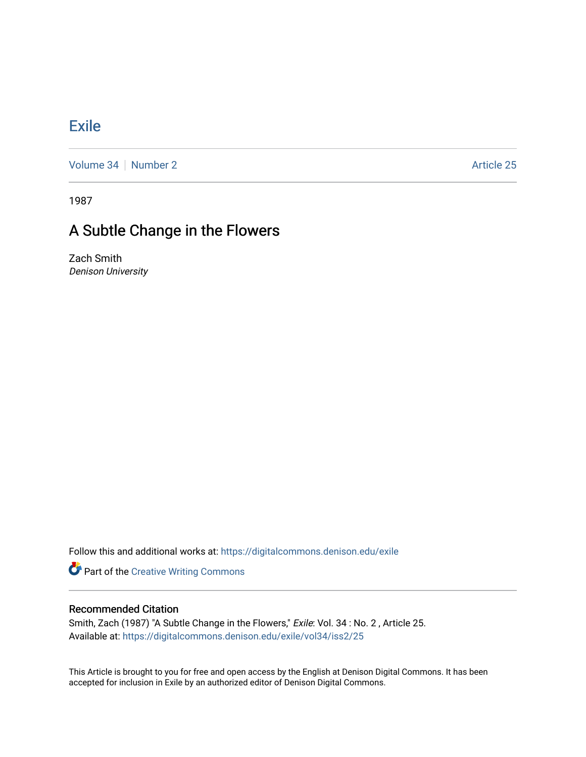## **[Exile](https://digitalcommons.denison.edu/exile)**

[Volume 34](https://digitalcommons.denison.edu/exile/vol34) [Number 2](https://digitalcommons.denison.edu/exile/vol34/iss2) Article 25

1987

## A Subtle Change in the Flowers

Zach Smith Denison University

Follow this and additional works at: [https://digitalcommons.denison.edu/exile](https://digitalcommons.denison.edu/exile?utm_source=digitalcommons.denison.edu%2Fexile%2Fvol34%2Fiss2%2F25&utm_medium=PDF&utm_campaign=PDFCoverPages) 

**Part of the Creative Writing Commons** 

## Recommended Citation

Smith, Zach (1987) "A Subtle Change in the Flowers," Exile: Vol. 34 : No. 2 , Article 25. Available at: [https://digitalcommons.denison.edu/exile/vol34/iss2/25](https://digitalcommons.denison.edu/exile/vol34/iss2/25?utm_source=digitalcommons.denison.edu%2Fexile%2Fvol34%2Fiss2%2F25&utm_medium=PDF&utm_campaign=PDFCoverPages)

This Article is brought to you for free and open access by the English at Denison Digital Commons. It has been accepted for inclusion in Exile by an authorized editor of Denison Digital Commons.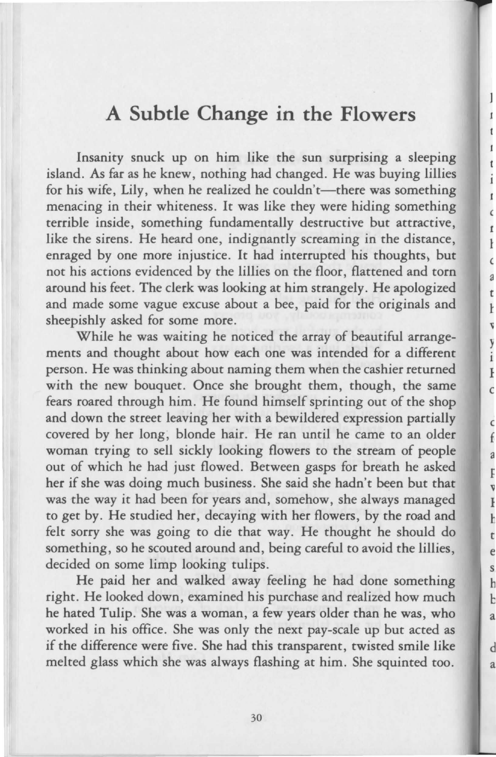## **A Subtle Change in the Flowers**

Insanity snuck up on him like the sun surprising a sleeping island. As far as he knew, nothing had changed. He was buying lillies for his wife, Lily, when he realized he couldn't—there was something menacing in their whiteness. It was like they were hiding something terrible inside, something fundamentally destructive but attractive, like the sirens. He heard one, indignantly screaming in the distance, enraged by one more injustice. It had interrupted his thoughts, but not his actions evidenced by the lillies on the floor, flattened and torn around his feet. The clerk was looking at him strangely. He apologized and made some vague excuse about a bee, paid for the originals and sheepishly asked for some more.

While he was waiting he noticed the array of beautiful arrangements and thought about how each one was intended for a different person. He was thinking about naming them when the cashier returned with the new bouquet. Once she brought them, though, the same fears roared through him. He found himself sprinting out of the shop and down the street leaving her with a bewildered expression partially covered by her long, blonde hair. He ran until he came to an older woman trying to sell sickly looking flowers to the stream of people out of which he had just flowed. Between gasps for breath he asked her if she was doing much business. She said she hadn't been but that was the way it had been for years and, somehow, she always managed to get by. He studied her, decaying with her flowers, by the road and felt sorry she was going to die that way. He thought he should do something, so he scouted around and, being careful to avoid the lillies, decided on some limp looking tulips.

He paid her and walked away feeling he had done something right. He looked down, examined his purchase and realized how much he hated Tulip. She was a woman, a few years older than he was, who worked in his office. She was only the next pay-scale up but acted as if the difference were five. She had this transparent, twisted smile like melted glass which she was always flashing at him. She squinted too.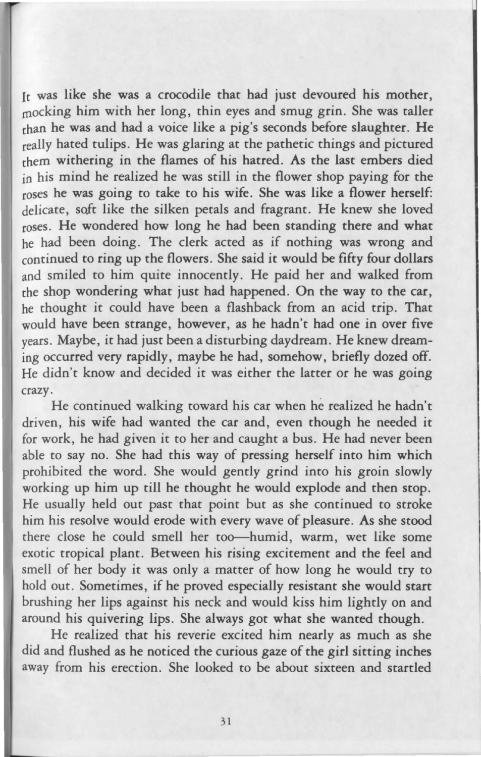Jr was like she was a crocodile that had just devoured his mother, rnocking him with her long, thin eyes and smug grin. She was taller rhan he was and had a voice like a pig's seconds before slaughter. He really hated tulips. He was glaring at the pathetic things and pictured chem withering in the flames of his hatred. As the last embers died in his mind he realized he was still in the flower shop paying for the roses he was going to take to his wife. She was like a flower herself: delicate, soft like the silken petals and fragrant. He knew she loved roses. He wondered how long he had been standing there and what he had been doing. The clerk acted as if nothing was wrong and continued to ring up the flowers. She said it would be fifty four dollars and smiled to him quite innocently. He paid her and walked from rhe shop wondering what just had happened. On the way to the car, he thought it could have been a flashback from an acid trip. That would have been strange, however, as he hadn't had one in over five years. Maybe, it had just been a disturbing daydream. He knew dreaming occurred very rapidly, maybe he had, somehow, briefly dozed off. He didn't know and decided it was either the latter or he was going crazy.

He continued walking toward his car when he realized he hadn't driven, his wife had wanted the car and, even though he needed it for work, he had given it to her and caught a bus. He had never been able to say no. She had this way of pressing herself into him which prohibited the word. She would gently grind into his groin slowly working up him up till he thought he would explode and then stop. He usually held out past that point but as she continued to stroke him his resolve would erode with every wave of pleasure. As she stood rhere close he could smell her too--humid, warm, wet like some exotic tropical plant. Between his rising excitement and the feel and smell of her body it was only a matter of how long he would try to hold out. Sometimes, if he proved especially resistant she would start brushing her lips against his neck and would kiss him lightly on and around his quivering lips. She always got what she wanted though.

He realized chat his reverie excited him nearly as much as she did and flushed as he noticed the curious gaze of the girl sitting inches away from his erection. She looked to be about sixteen and startled